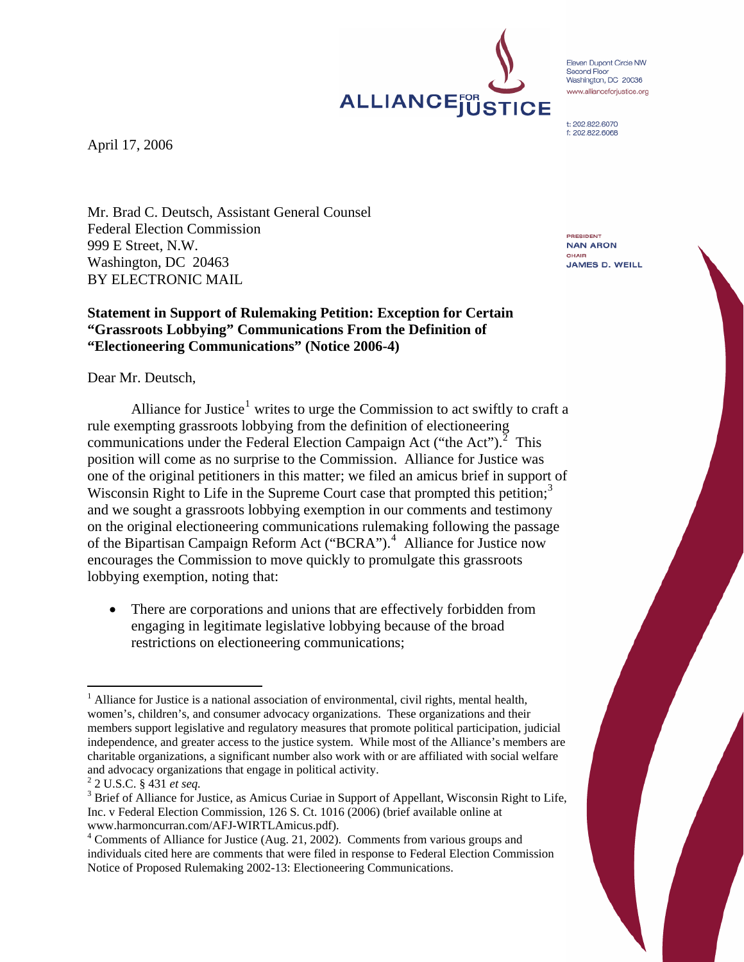Eleven Dupont Circle NW Second Floor Second Floor<br>Washington, DC 20036 www.allianceforiustice.org

t: 202.822.6070 f: 202.822.6068

ALLIANCEJUSTICE

April 17, 2006

Mr. Brad C. Deutsch, Assistant General Counsel Federal Election Commission 999 E Street, N.W. Washington, DC 20463 BY ELECTRONIC MAIL

# **Statement in Support of Rulemaking Petition: Exception for Certain "Grassroots Lobbying" Communications From the Definition of "Electioneering Communications" (Notice 2006-4)**

Dear Mr. Deutsch,

Alliance for Justice<sup>[1](#page-0-0)</sup> writes to urge the Commission to act swiftly to craft a rule exempting grassroots lobbying from the definition of electioneering communications under the Federal Election Campaign Act ("the Act"). $^2$  $^2$  This position will come as no surprise to the Commission. Alliance for Justice was one of the original petitioners in this matter; we filed an amicus brief in support of Wisconsin Right to Life in the Supreme Court case that prompted this petition;<sup>[3](#page-0-2)</sup> and we sought a grassroots lobbying exemption in our comments and testimony on the original electioneering communications rulemaking following the passage of the Bipartisan Campaign Reform Act ("BCRA").<sup>[4](#page-0-3)</sup> Alliance for Justice now encourages the Commission to move quickly to promulgate this grassroots lobbying exemption, noting that:

• There are corporations and unions that are effectively forbidden from engaging in legitimate legislative lobbying because of the broad restrictions on electioneering communications;

PRESIDENT **NAN ARON** CHAIR **JAMES D. WEILL** 

<span id="page-0-0"></span> $\overline{a}$ <sup>1</sup> Alliance for Justice is a national association of environmental, civil rights, mental health, women's, children's, and consumer advocacy organizations. These organizations and their members support legislative and regulatory measures that promote political participation, judicial independence, and greater access to the justice system. While most of the Alliance's members are charitable organizations, a significant number also work with or are affiliated with social welfare and advocacy organizations that engage in political activity. 2

<span id="page-0-1"></span> <sup>2</sup> U.S.C. § 431 *et seq.* <sup>3</sup>

<span id="page-0-2"></span><sup>&</sup>lt;sup>3</sup> Brief of Alliance for Justice, as Amicus Curiae in Support of Appellant, Wisconsin Right to Life, Inc. v Federal Election Commission, 126 S. Ct. 1016 (2006) (brief available online at www.harmoncurran.com/AFJ-WIRTLAmicus.pdf).

<span id="page-0-3"></span><sup>&</sup>lt;sup>4</sup> Comments of Alliance for Justice (Aug. 21, 2002). Comments from various groups and individuals cited here are comments that were filed in response to Federal Election Commission Notice of Proposed Rulemaking 2002-13: Electioneering Communications.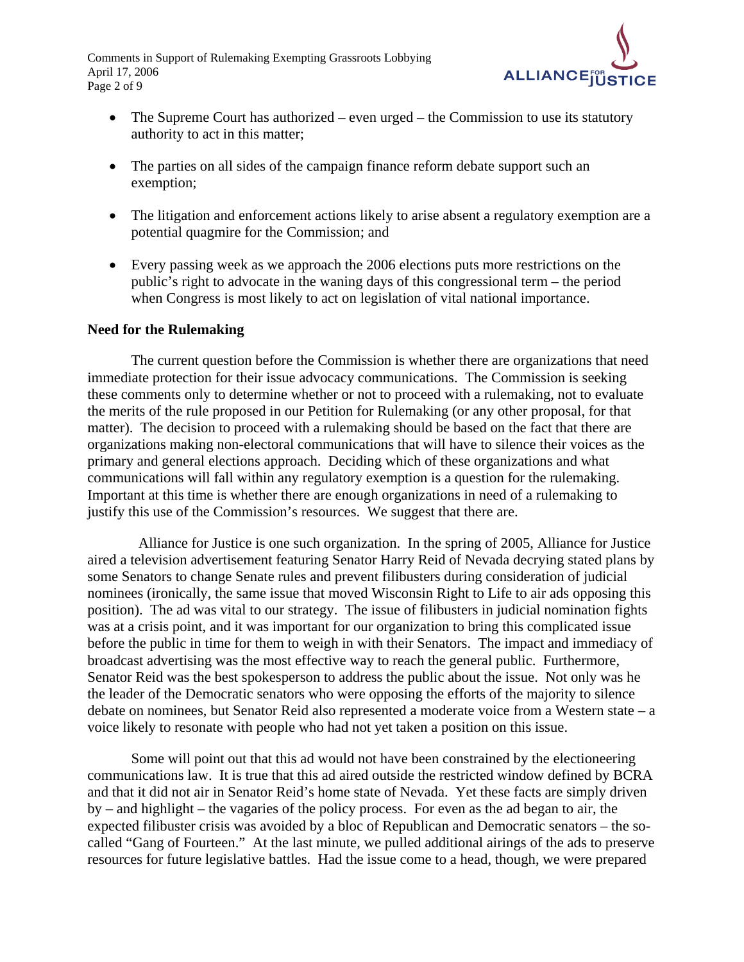Comments in Support of Rulemaking Exempting Grassroots Lobbying April 17, 2006 Page 2 of 9



- The Supreme Court has authorized even urged the Commission to use its statutory authority to act in this matter;
- The parties on all sides of the campaign finance reform debate support such an exemption;
- The litigation and enforcement actions likely to arise absent a regulatory exemption are a potential quagmire for the Commission; and
- Every passing week as we approach the 2006 elections puts more restrictions on the public's right to advocate in the waning days of this congressional term – the period when Congress is most likely to act on legislation of vital national importance.

#### **Need for the Rulemaking**

The current question before the Commission is whether there are organizations that need immediate protection for their issue advocacy communications. The Commission is seeking these comments only to determine whether or not to proceed with a rulemaking, not to evaluate the merits of the rule proposed in our Petition for Rulemaking (or any other proposal, for that matter). The decision to proceed with a rulemaking should be based on the fact that there are organizations making non-electoral communications that will have to silence their voices as the primary and general elections approach. Deciding which of these organizations and what communications will fall within any regulatory exemption is a question for the rulemaking. Important at this time is whether there are enough organizations in need of a rulemaking to justify this use of the Commission's resources. We suggest that there are.

 Alliance for Justice is one such organization. In the spring of 2005, Alliance for Justice aired a television advertisement featuring Senator Harry Reid of Nevada decrying stated plans by some Senators to change Senate rules and prevent filibusters during consideration of judicial nominees (ironically, the same issue that moved Wisconsin Right to Life to air ads opposing this position). The ad was vital to our strategy. The issue of filibusters in judicial nomination fights was at a crisis point, and it was important for our organization to bring this complicated issue before the public in time for them to weigh in with their Senators. The impact and immediacy of broadcast advertising was the most effective way to reach the general public. Furthermore, Senator Reid was the best spokesperson to address the public about the issue. Not only was he the leader of the Democratic senators who were opposing the efforts of the majority to silence debate on nominees, but Senator Reid also represented a moderate voice from a Western state – a voice likely to resonate with people who had not yet taken a position on this issue.

Some will point out that this ad would not have been constrained by the electioneering communications law. It is true that this ad aired outside the restricted window defined by BCRA and that it did not air in Senator Reid's home state of Nevada. Yet these facts are simply driven by – and highlight – the vagaries of the policy process. For even as the ad began to air, the expected filibuster crisis was avoided by a bloc of Republican and Democratic senators – the socalled "Gang of Fourteen." At the last minute, we pulled additional airings of the ads to preserve resources for future legislative battles. Had the issue come to a head, though, we were prepared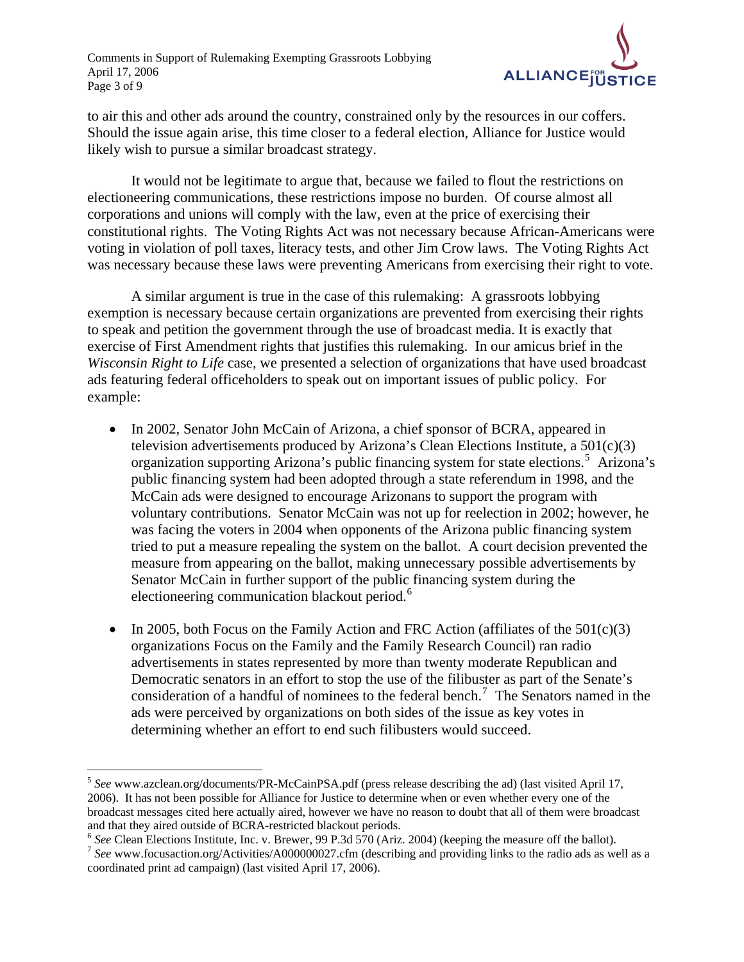

to air this and other ads around the country, constrained only by the resources in our coffers. Should the issue again arise, this time closer to a federal election, Alliance for Justice would likely wish to pursue a similar broadcast strategy.

It would not be legitimate to argue that, because we failed to flout the restrictions on electioneering communications, these restrictions impose no burden. Of course almost all corporations and unions will comply with the law, even at the price of exercising their constitutional rights. The Voting Rights Act was not necessary because African-Americans were voting in violation of poll taxes, literacy tests, and other Jim Crow laws. The Voting Rights Act was necessary because these laws were preventing Americans from exercising their right to vote.

A similar argument is true in the case of this rulemaking: A grassroots lobbying exemption is necessary because certain organizations are prevented from exercising their rights to speak and petition the government through the use of broadcast media. It is exactly that exercise of First Amendment rights that justifies this rulemaking. In our amicus brief in the *Wisconsin Right to Life* case, we presented a selection of organizations that have used broadcast ads featuring federal officeholders to speak out on important issues of public policy. For example:

- In 2002, Senator John McCain of Arizona, a chief sponsor of BCRA, appeared in television advertisements produced by Arizona's Clean Elections Institute, a 501(c)(3) organization supporting Arizona's public financing system for state elections.<sup>[5](#page-2-0)</sup> Arizona's public financing system had been adopted through a state referendum in 1998, and the McCain ads were designed to encourage Arizonans to support the program with voluntary contributions. Senator McCain was not up for reelection in 2002; however, he was facing the voters in 2004 when opponents of the Arizona public financing system tried to put a measure repealing the system on the ballot. A court decision prevented the measure from appearing on the ballot, making unnecessary possible advertisements by Senator McCain in further support of the public financing system during the electioneering communication blackout period.<sup>[6](#page-2-1)</sup>
- In 2005, both Focus on the Family Action and FRC Action (affiliates of the  $501(c)(3)$ organizations Focus on the Family and the Family Research Council) ran radio advertisements in states represented by more than twenty moderate Republican and Democratic senators in an effort to stop the use of the filibuster as part of the Senate's consideration of a handful of nominees to the federal bench.<sup>[7](#page-2-2)</sup> The Senators named in the ads were perceived by organizations on both sides of the issue as key votes in determining whether an effort to end such filibusters would succeed.

<span id="page-2-0"></span><sup>5</sup> *See* www.azclean.org/documents/PR-McCainPSA.pdf (press release describing the ad) (last visited April 17, 2006). It has not been possible for Alliance for Justice to determine when or even whether every one of the broadcast messages cited here actually aired, however we have no reason to doubt that all of them were broadcast and that they aired outside of BCRA-restricted blackout periods.<br><sup>6</sup> See Clean Elections Institute, Inc. v. Brewer, 99 P.3d 570 (Ariz. 2004) (keeping the measure off the ballot).

<span id="page-2-2"></span><span id="page-2-1"></span><sup>&</sup>lt;sup>7</sup> See www.focusaction.org/Activities/A000000027.cfm (describing and providing links to the radio ads as well as a coordinated print ad campaign) (last visited April 17, 2006).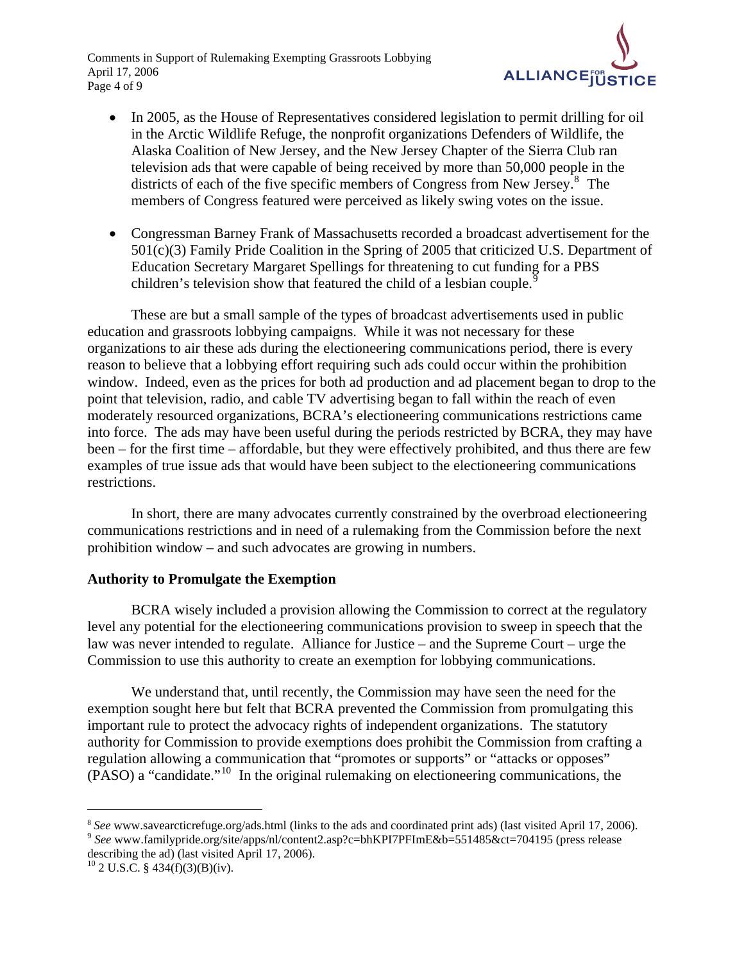Comments in Support of Rulemaking Exempting Grassroots Lobbying April 17, 2006 Page 4 of 9



- In 2005, as the House of Representatives considered legislation to permit drilling for oil in the Arctic Wildlife Refuge, the nonprofit organizations Defenders of Wildlife, the Alaska Coalition of New Jersey, and the New Jersey Chapter of the Sierra Club ran television ads that were capable of being received by more than 50,000 people in the districts of each of the five specific members of Congress from New Jersey.<sup>[8](#page-3-0)</sup> The members of Congress featured were perceived as likely swing votes on the issue.
- Congressman Barney Frank of Massachusetts recorded a broadcast advertisement for the 501(c)(3) Family Pride Coalition in the Spring of 2005 that criticized U.S. Department of Education Secretary Margaret Spellings for threatening to cut funding for a PBS children's television show that featured the child of a lesbian couple.<sup>[9](#page-3-1)</sup>

These are but a small sample of the types of broadcast advertisements used in public education and grassroots lobbying campaigns. While it was not necessary for these organizations to air these ads during the electioneering communications period, there is every reason to believe that a lobbying effort requiring such ads could occur within the prohibition window. Indeed, even as the prices for both ad production and ad placement began to drop to the point that television, radio, and cable TV advertising began to fall within the reach of even moderately resourced organizations, BCRA's electioneering communications restrictions came into force. The ads may have been useful during the periods restricted by BCRA, they may have been – for the first time – affordable, but they were effectively prohibited, and thus there are few examples of true issue ads that would have been subject to the electioneering communications restrictions.

In short, there are many advocates currently constrained by the overbroad electioneering communications restrictions and in need of a rulemaking from the Commission before the next prohibition window – and such advocates are growing in numbers.

## **Authority to Promulgate the Exemption**

BCRA wisely included a provision allowing the Commission to correct at the regulatory level any potential for the electioneering communications provision to sweep in speech that the law was never intended to regulate. Alliance for Justice – and the Supreme Court – urge the Commission to use this authority to create an exemption for lobbying communications.

We understand that, until recently, the Commission may have seen the need for the exemption sought here but felt that BCRA prevented the Commission from promulgating this important rule to protect the advocacy rights of independent organizations. The statutory authority for Commission to provide exemptions does prohibit the Commission from crafting a regulation allowing a communication that "promotes or supports" or "attacks or opposes" (PASO) a "candidate."[10](#page-3-2) In the original rulemaking on electioneering communications, the

<span id="page-3-0"></span> $\degree$  See www.savearcticrefuge.org/ads.html (links to the ads and coordinated print ads) (last visited April 17, 2006).<br> $\degree$  See www.familypride.org/site/apps/nl/content2.asp?c=bhKPI7PFImE&b=551485&ct=704195 (press release

<span id="page-3-1"></span>describing the ad) (last visited April 17, 2006).

<span id="page-3-2"></span> $10^{10}$  2 U.S.C. § 434(f)(3)(B)(iv).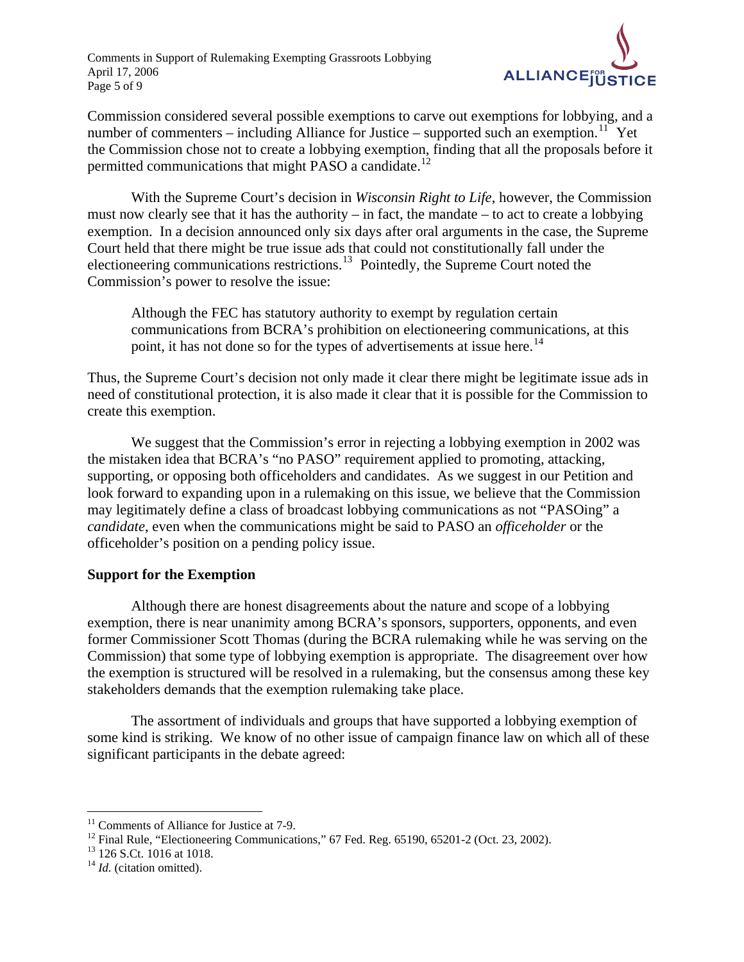Comments in Support of Rulemaking Exempting Grassroots Lobbying April 17, 2006 Page 5 of 9



Commission considered several possible exemptions to carve out exemptions for lobbying, and a number of commenters – including Alliance for Justice – supported such an exemption.<sup>[11](#page-4-0)</sup> Yet the Commission chose not to create a lobbying exemption, finding that all the proposals before it permitted communications that might PASO a candidate.<sup>[12](#page-4-1)</sup>

With the Supreme Court's decision in *Wisconsin Right to Life*, however, the Commission must now clearly see that it has the authority – in fact, the mandate – to act to create a lobbying exemption. In a decision announced only six days after oral arguments in the case, the Supreme Court held that there might be true issue ads that could not constitutionally fall under the electioneering communications restrictions.<sup>[13](#page-4-2)</sup> Pointedly, the Supreme Court noted the Commission's power to resolve the issue:

Although the FEC has statutory authority to exempt by regulation certain communications from BCRA's prohibition on electioneering communications, at this point, it has not done so for the types of advertisements at issue here.<sup>[14](#page-4-3)</sup>

Thus, the Supreme Court's decision not only made it clear there might be legitimate issue ads in need of constitutional protection, it is also made it clear that it is possible for the Commission to create this exemption.

We suggest that the Commission's error in rejecting a lobbying exemption in 2002 was the mistaken idea that BCRA's "no PASO" requirement applied to promoting, attacking, supporting, or opposing both officeholders and candidates. As we suggest in our Petition and look forward to expanding upon in a rulemaking on this issue, we believe that the Commission may legitimately define a class of broadcast lobbying communications as not "PASOing" a *candidate*, even when the communications might be said to PASO an *officeholder* or the officeholder's position on a pending policy issue.

## **Support for the Exemption**

Although there are honest disagreements about the nature and scope of a lobbying exemption, there is near unanimity among BCRA's sponsors, supporters, opponents, and even former Commissioner Scott Thomas (during the BCRA rulemaking while he was serving on the Commission) that some type of lobbying exemption is appropriate. The disagreement over how the exemption is structured will be resolved in a rulemaking, but the consensus among these key stakeholders demands that the exemption rulemaking take place.

The assortment of individuals and groups that have supported a lobbying exemption of some kind is striking. We know of no other issue of campaign finance law on which all of these significant participants in the debate agreed:

<span id="page-4-0"></span><sup>&</sup>lt;sup>11</sup> Comments of Alliance for Justice at 7-9.

<span id="page-4-1"></span><sup>&</sup>lt;sup>12</sup> Final Rule, "Electioneering Communications," 67 Fed. Reg. 65190, 65201-2 (Oct. 23, 2002).

<span id="page-4-2"></span><sup>&</sup>lt;sup>13</sup> 126 S.Ct. 1016 at 1018.

<span id="page-4-3"></span><sup>&</sup>lt;sup>14</sup> *Id.* (citation omitted).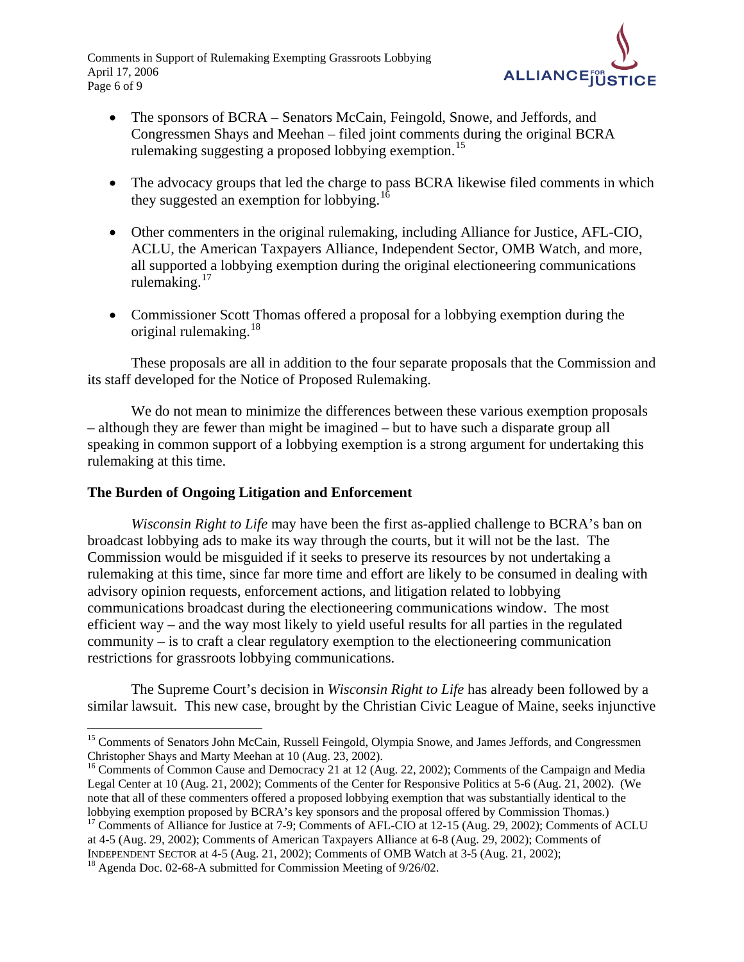Comments in Support of Rulemaking Exempting Grassroots Lobbying April 17, 2006 Page 6 of 9



- The sponsors of BCRA Senators McCain, Feingold, Snowe, and Jeffords, and Congressmen Shays and Meehan – filed joint comments during the original BCRA rulemaking suggesting a proposed lobbying exemption.<sup>[15](#page-5-0)</sup>
- The advocacy groups that led the charge to pass BCRA likewise filed comments in which they suggested an exemption for lobbying.<sup>[16](#page-5-1)</sup>
- Other commenters in the original rulemaking, including Alliance for Justice, AFL-CIO, ACLU, the American Taxpayers Alliance, Independent Sector, OMB Watch, and more, all supported a lobbying exemption during the original electioneering communications rulemaking.<sup>[17](#page-5-2)</sup>
- Commissioner Scott Thomas offered a proposal for a lobbying exemption during the original rulemaking. $18$

These proposals are all in addition to the four separate proposals that the Commission and its staff developed for the Notice of Proposed Rulemaking.

We do not mean to minimize the differences between these various exemption proposals – although they are fewer than might be imagined – but to have such a disparate group all speaking in common support of a lobbying exemption is a strong argument for undertaking this rulemaking at this time.

# **The Burden of Ongoing Litigation and Enforcement**

*Wisconsin Right to Life* may have been the first as-applied challenge to BCRA's ban on broadcast lobbying ads to make its way through the courts, but it will not be the last. The Commission would be misguided if it seeks to preserve its resources by not undertaking a rulemaking at this time, since far more time and effort are likely to be consumed in dealing with advisory opinion requests, enforcement actions, and litigation related to lobbying communications broadcast during the electioneering communications window. The most efficient way – and the way most likely to yield useful results for all parties in the regulated community – is to craft a clear regulatory exemption to the electioneering communication restrictions for grassroots lobbying communications.

The Supreme Court's decision in *Wisconsin Right to Life* has already been followed by a similar lawsuit. This new case, brought by the Christian Civic League of Maine, seeks injunctive

<span id="page-5-2"></span><sup>17</sup> Comments of Alliance for Justice at 7-9; Comments of AFL-CIO at 12-15 (Aug. 29, 2002); Comments of ACLU at 4-5 (Aug. 29, 2002); Comments of American Taxpayers Alliance at 6-8 (Aug. 29, 2002); Comments of

<span id="page-5-0"></span> $\overline{a}$ <sup>15</sup> Comments of Senators John McCain, Russell Feingold, Olympia Snowe, and James Jeffords, and Congressmen Christopher Shays and Marty Meehan at 10 (Aug. 23, 2002).

<span id="page-5-1"></span><sup>&</sup>lt;sup>16</sup> Comments of Common Cause and Democracy 21 at 12 (Aug. 22, 2002); Comments of the Campaign and Media Legal Center at 10 (Aug. 21, 2002); Comments of the Center for Responsive Politics at 5-6 (Aug. 21, 2002). (We note that all of these commenters offered a proposed lobbying exemption that was substantially identical to the lobbying exemption proposed by BCRA's key sponsors and the proposal offered by Commission Thomas.)

<span id="page-5-3"></span>INDEPENDENT SECTOR at 4-5 (Aug. 21, 2002); Comments of OMB Watch at 3-5 (Aug. 21, 2002); 18 Agenda Doc. 02-68-A submitted for Commission Meeting of 9/26/02.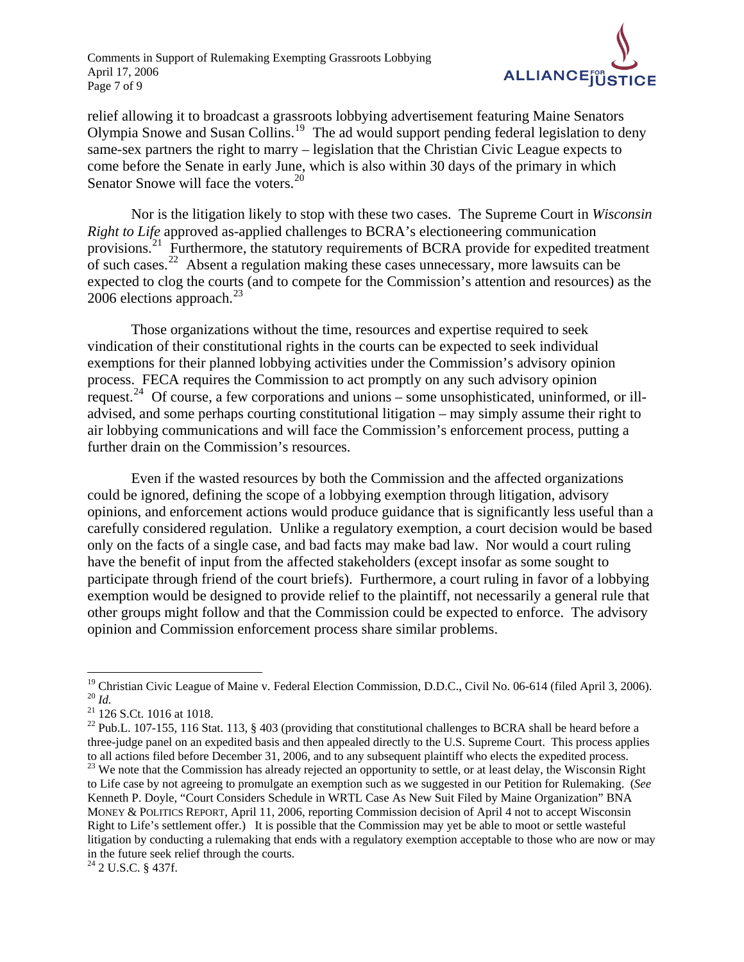

relief allowing it to broadcast a grassroots lobbying advertisement featuring Maine Senators Olympia Snowe and Susan Collins.[19](#page-6-0) The ad would support pending federal legislation to deny same-sex partners the right to marry – legislation that the Christian Civic League expects to come before the Senate in early June, which is also within 30 days of the primary in which Senator Snowe will face the voters. $^{20}$  $^{20}$  $^{20}$ 

Nor is the litigation likely to stop with these two cases. The Supreme Court in *Wisconsin Right to Life* approved as-applied challenges to BCRA's electioneering communication provisions.<sup>[21](#page-6-2)</sup> Furthermore, the statutory requirements of BCRA provide for expedited treatment of such cases.<sup>[22](#page-6-3)</sup> Absent a regulation making these cases unnecessary, more lawsuits can be expected to clog the courts (and to compete for the Commission's attention and resources) as the 2006 elections approach. $^{23}$  $^{23}$  $^{23}$ 

Those organizations without the time, resources and expertise required to seek vindication of their constitutional rights in the courts can be expected to seek individual exemptions for their planned lobbying activities under the Commission's advisory opinion process. FECA requires the Commission to act promptly on any such advisory opinion request.[24](#page-6-5) Of course, a few corporations and unions – some unsophisticated, uninformed, or illadvised, and some perhaps courting constitutional litigation – may simply assume their right to air lobbying communications and will face the Commission's enforcement process, putting a further drain on the Commission's resources.

Even if the wasted resources by both the Commission and the affected organizations could be ignored, defining the scope of a lobbying exemption through litigation, advisory opinions, and enforcement actions would produce guidance that is significantly less useful than a carefully considered regulation. Unlike a regulatory exemption, a court decision would be based only on the facts of a single case, and bad facts may make bad law. Nor would a court ruling have the benefit of input from the affected stakeholders (except insofar as some sought to participate through friend of the court briefs). Furthermore, a court ruling in favor of a lobbying exemption would be designed to provide relief to the plaintiff, not necessarily a general rule that other groups might follow and that the Commission could be expected to enforce. The advisory opinion and Commission enforcement process share similar problems.

<span id="page-6-1"></span><span id="page-6-0"></span><sup>&</sup>lt;sup>19</sup> Christian Civic League of Maine v. Federal Election Commission, D.D.C., Civil No. 06-614 (filed April 3, 2006).<br><sup>20</sup>  $H$ 

<span id="page-6-2"></span><sup>&</sup>lt;sup>21</sup> 126 S.Ct. 1016 at 1018.

<span id="page-6-3"></span><sup>&</sup>lt;sup>22</sup> Pub.L. 107-155, 116 Stat. 113, § 403 (providing that constitutional challenges to BCRA shall be heard before a three-judge panel on an expedited basis and then appealed directly to the U.S. Supreme Court. This process applies to all actions filed before December 31, 2006, and to any subsequent plaintiff who elects the expedited process. <sup>23</sup> We note that the Commission has already rejected an opportunity to settle, or at least delay, the Wisconsin Right

<span id="page-6-4"></span>to Life case by not agreeing to promulgate an exemption such as we suggested in our Petition for Rulemaking. (*See*  Kenneth P. Doyle, "Court Considers Schedule in WRTL Case As New Suit Filed by Maine Organization" BNA MONEY & POLITICS REPORT, April 11, 2006, reporting Commission decision of April 4 not to accept Wisconsin Right to Life's settlement offer.) It is possible that the Commission may yet be able to moot or settle wasteful litigation by conducting a rulemaking that ends with a regulatory exemption acceptable to those who are now or may in the future seek relief through the courts.

<span id="page-6-5"></span> $24$  2 U.S.C. § 437f.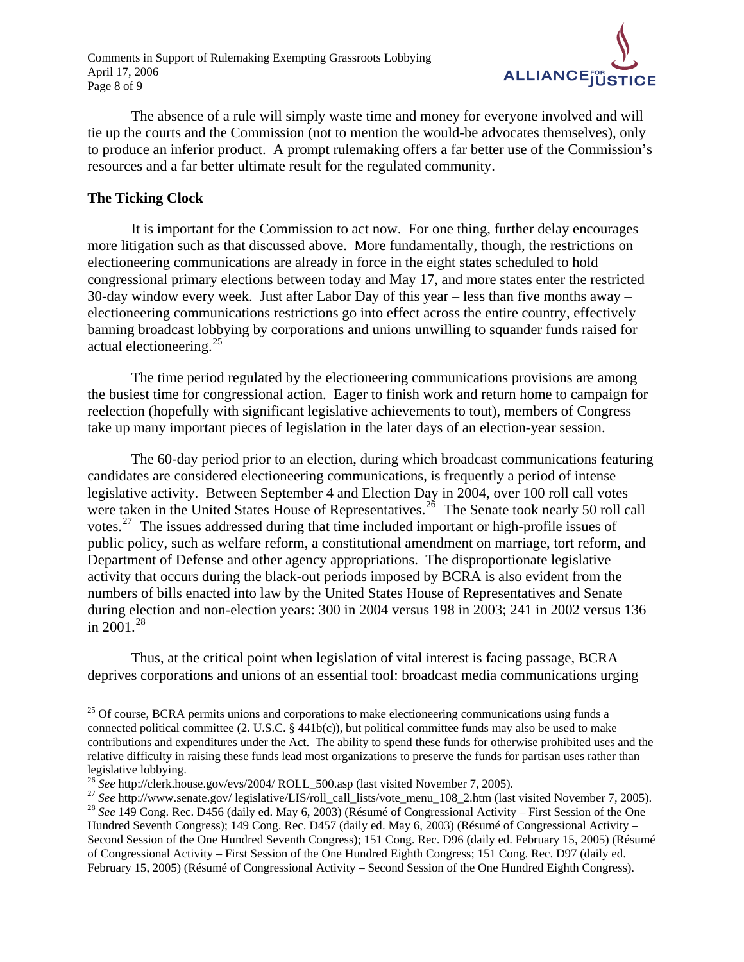Comments in Support of Rulemaking Exempting Grassroots Lobbying April 17, 2006 Page 8 of 9



The absence of a rule will simply waste time and money for everyone involved and will tie up the courts and the Commission (not to mention the would-be advocates themselves), only to produce an inferior product. A prompt rulemaking offers a far better use of the Commission's resources and a far better ultimate result for the regulated community.

#### **The Ticking Clock**

 $\overline{a}$ 

It is important for the Commission to act now. For one thing, further delay encourages more litigation such as that discussed above. More fundamentally, though, the restrictions on electioneering communications are already in force in the eight states scheduled to hold congressional primary elections between today and May 17, and more states enter the restricted 30-day window every week. Just after Labor Day of this year – less than five months away – electioneering communications restrictions go into effect across the entire country, effectively banning broadcast lobbying by corporations and unions unwilling to squander funds raised for actual electioneering.[25](#page-7-0)

The time period regulated by the electioneering communications provisions are among the busiest time for congressional action. Eager to finish work and return home to campaign for reelection (hopefully with significant legislative achievements to tout), members of Congress take up many important pieces of legislation in the later days of an election-year session.

The 60-day period prior to an election, during which broadcast communications featuring candidates are considered electioneering communications, is frequently a period of intense legislative activity. Between September 4 and Election Day in 2004, over 100 roll call votes were taken in the United States House of Representatives.<sup>[26](#page-7-1)</sup> The Senate took nearly 50 roll call votes.<sup>[27](#page-7-2)</sup> The issues addressed during that time included important or high-profile issues of public policy, such as welfare reform, a constitutional amendment on marriage, tort reform, and Department of Defense and other agency appropriations. The disproportionate legislative activity that occurs during the black-out periods imposed by BCRA is also evident from the numbers of bills enacted into law by the United States House of Representatives and Senate during election and non-election years: 300 in 2004 versus 198 in 2003; 241 in 2002 versus 136 in  $2001.<sup>28</sup>$  $2001.<sup>28</sup>$  $2001.<sup>28</sup>$ 

Thus, at the critical point when legislation of vital interest is facing passage, BCRA deprives corporations and unions of an essential tool: broadcast media communications urging

<span id="page-7-0"></span><sup>&</sup>lt;sup>25</sup> Of course, BCRA permits unions and corporations to make electioneering communications using funds a connected political committee (2. U.S.C. § 441b(c)), but political committee funds may also be used to make contributions and expenditures under the Act. The ability to spend these funds for otherwise prohibited uses and the relative difficulty in raising these funds lead most organizations to preserve the funds for partisan uses rather than legislative lobbying.<br><sup>26</sup> See http://clerk.house.gov/evs/2004/ ROLL 500.asp (last visited November 7, 2005).

<span id="page-7-1"></span>

<span id="page-7-3"></span><span id="page-7-2"></span><sup>&</sup>lt;sup>27</sup> See http://www.senate.gov/ legislative/LIS/roll\_call\_lists/vote\_menu\_108\_2.htm (last visited November 7, 2005).<br><sup>28</sup> See 149 Cong. Rec. D456 (daily ed. May 6, 2003) (Résumé of Congressional Activity – First Session o Hundred Seventh Congress); 149 Cong. Rec. D457 (daily ed. May 6, 2003) (Résumé of Congressional Activity – Second Session of the One Hundred Seventh Congress); 151 Cong. Rec. D96 (daily ed. February 15, 2005) (Résumé of Congressional Activity – First Session of the One Hundred Eighth Congress; 151 Cong. Rec. D97 (daily ed. February 15, 2005) (Résumé of Congressional Activity – Second Session of the One Hundred Eighth Congress).